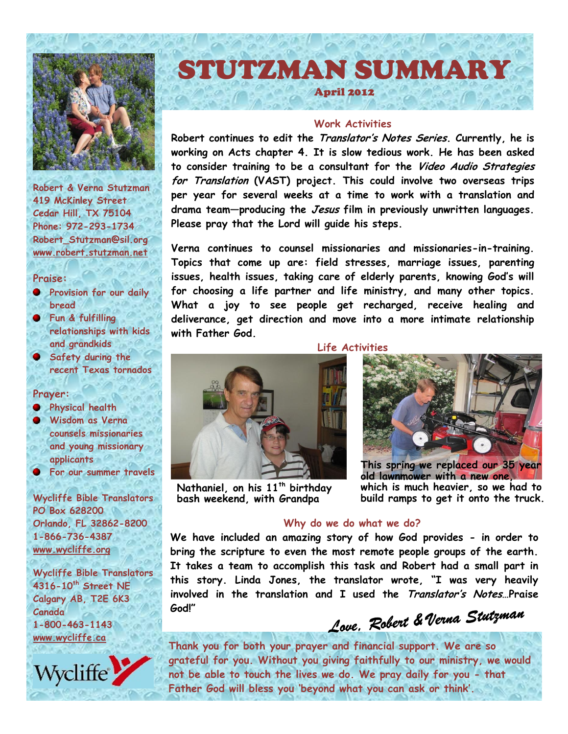

**Robert & Verna Stutzman 419 McKinley Street Cedar Hill, TX 75104 Phone: 972-293-1734 Robert\_Stutzman@sil.org [www.robert.stutzman.net](http://www.robert.stutzman.net/)**

#### **Praise:**

- **Provision for our daily bread**
- **Fun & fulfilling relationships with kids and grandkids**
- **Safety during the recent Texas tornados**

## **Prayer:**

- **Physical health**
- **Wisdom as Verna counsels missionaries and young missionary applicants**
- **For our summer travels**

**Wycliffe Bible Translators PO Box 628200 Orlando, FL 32862-8200 1-866-736-4387 [www.wycliffe.org](http://www.wycliffe.org/)**

**Wycliffe Bible Translators 4316-10th Street NE Calgary AB, T2E 6K3 Canada 1-800-463-1143 [www.wycliffe.ca](http://www.wycliffe.ca/)**



# STUTZMAN SUMMARY April 2012

# **Work Activities**

**Robert continues to edit the Translator's Notes Series. Currently, he is working on Acts chapter 4. It is slow tedious work. He has been asked to consider training to be a consultant for the Video Audio Strategies for Translation (VAST) project. This could involve two overseas trips per year for several weeks at a time to work with a translation and drama team—producing the Jesus film in previously unwritten languages. Please pray that the Lord will guide his steps.**

**Verna continues to counsel missionaries and missionaries-in-training. Topics that come up are: field stresses, marriage issues, parenting issues, health issues, taking care of elderly parents, knowing God's will for choosing a life partner and life ministry, and many other topics. What a joy to see people get recharged, receive healing and deliverance, get direction and move into a more intimate relationship with Father God.**



**Nathaniel, on his 11th birthday bash weekend, with Grandpa**

**Life Activities**



**This spring we replaced our 35 year old lawnmower with a new one, which is much heavier, so we had to build ramps to get it onto the truck.**

### **Why do we do what we do?**

**We have included an amazing story of how God provides - in order to bring the scripture to even the most remote people groups of the earth. It takes a team to accomplish this task and Robert had a small part in this story. Linda Jones, the translator wrote, "I was very heavily involved in the translation and I used the Translator's Notes…Praise God!"**

Love, Robert & Verna Stutzman

**Thank you for both your prayer and financial support. We are so grateful for you. Without you giving faithfully to our ministry, we would not be able to touch the lives we do. We pray daily for you - that Father God will bless you 'beyond what you can ask or think'.**